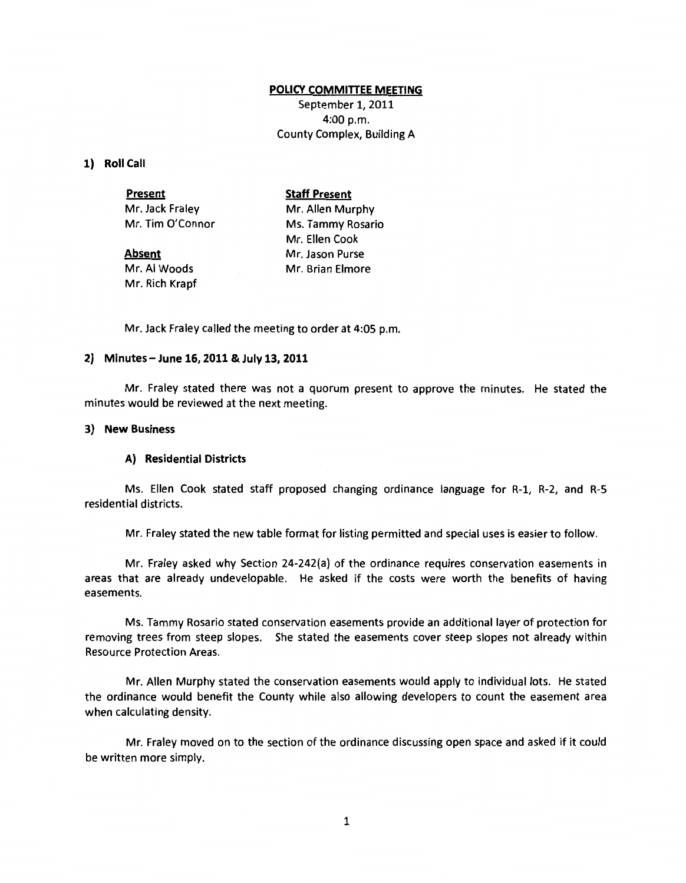## **POLICY COMMITIEE MEETING**

September 1, 2011 4:00 p.m. County Complex, Building A

**1) Roll Call** 

| <b>Present</b>   | <b>Staff Present</b> |
|------------------|----------------------|
| Mr. Jack Fraley  | Mr. Allen Murphy     |
| Mr. Tim O'Connor | Ms. Tammy Rosario    |
|                  | Mr. Ellen Cook       |
| <b>Absent</b>    | Mr. Jason Purse      |
| Mr. Al Woods     | Mr. Brian Elmore     |

Mr. Jack Fraley called the meeting to order at 4:05 p.m.

## **2) Minutes- June 16, 2011 & July 13, 2011**

Mr. Rich Krapf

Mr. Fraley stated there was not a quorum present to approve the minutes. He stated the minutes would be reviewed at the next meeting.

# **3) New Business**

### **A) Residential Districts**

Ms. Ellen Cook stated staff proposed changing ordinance language for R-1, R-2, and R-5 residential districts.

Mr. Fraley stated the new table format for listing permitted and special uses is easier to follow.

Mr. Fraley asked why Section 24-242(a) of the ordinance requires conservation easements in areas that are already undevelopable. He asked if the costs were worth the benefits of having easements.

Ms. Tammy Rosario stated conservation easements provide an additional layer of protection for removing trees from steep slopes. She stated the easements cover steep slopes not already within Resource Protection Areas.

Mr. Allen Murphy stated the conservation easements would apply to individual lots. He stated the ordinance would benefit the County while also allowing developers to count the easement area when calculating density.

Mr. Fraley moved on to the section of the ordinance discussing open space and asked if it could be written more simply.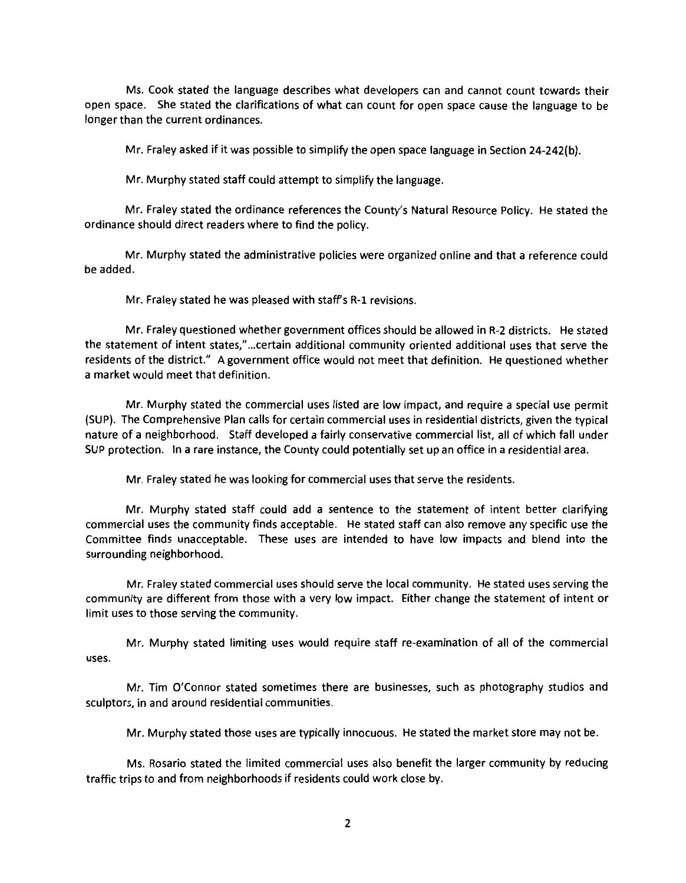Ms. Cook stated the language describes what developers can and cannot count towards their open space. She stated the clarifications of what can count for open space cause the language to be longer than the current ordinances.

Mr. Fraley asked if it was possible to simplify the open space language in Section 24-242(b).

Mr. Murphy stated staff could attempt to simplify the language.

Mr. Fraley stated the ordinance references the County's Natural Resource Policy. He stated the ordinance should direct readers where to find the policy.

Mr. Murphy stated the administrative policies were organized online and that a reference could be added.

Mr. Fraley stated he was pleased with staff's R-1 revisions.

Mr. Fraley questioned whether government offices should be allowed in R-2 districts. He stated the statement of intent *states,"* ... certain additional community oriented additional uses that serve the residents of the district." A government office would not meet that definition. He questioned whether a market would meet that definition.

Mr. Murphy stated the commercial uses listed are low impact, and require a special use permit (SUP). The Comprehensive Plan calls for certain commercial uses in residential districts, given the typical nature of a neighborhood. Staff developed a fairly conservative commercial list, all of which fall under SUP protection. In a rare instance, the County could potentially set up an office in a residential area.

Mr. Fraley stated he was looking for commercial uses that serve the residents.

Mr. Murphy stated staff could add a sentence to the statement of intent better clarifying commercial uses the community finds acceptable. He stated staff can also remove any specific use the Committee finds unacceptable. These uses are intended to have low impacts and blend into the surrounding neighborhood.

Mr. Fraley stated commercial uses should serve the local community. He stated uses serving the community are different from those with a very low impact. Either change the statement of intent or limit uses to those serving the community.

Mr. Murphy stated limiting uses would require staff re-examination of all of the commercial uses.

Mr. Tim O'Connor stated sometimes there are businesses, such as photography studios and sculptors, in and around residential communities.

Mr. Murphy stated those uses are typically innocuous. He stated the market store may not be.

Ms. Rosario stated the limited commercial uses also benefit the larger community by reducing traffic trips to and from neighborhoods if residents could work close by.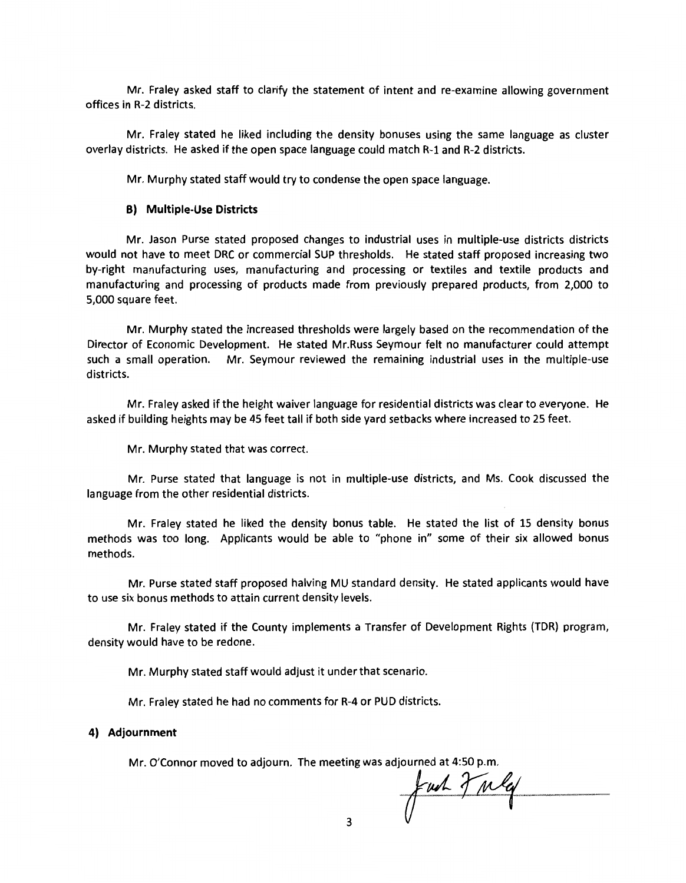Mr. Fraley asked staff to clarify the statement of intent and re-examine allowing government offices in R-2 districts.

Mr. Fraley stated he liked including the density bonuses using the same language as cluster overlay districts. He asked if the open space language could match R-1 and R-2 districts.

Mr. Murphy stated staff would try to condense the open space language.

## **B) Multiple-Use Districts**

Mr. Jason Purse stated proposed changes to industrial uses in multiple-use districts districts would not have to meet DRC or commercial SUP thresholds. He stated staff proposed increasing two by-right manufacturing uses, manufacturing and processing or textiles and textile products and manufacturing and processing of products made from previously prepared products, from 2,000 to 5,000 square feet.

Mr. Murphy stated the increased thresholds were largely based on the recommendation of the Director of Economic Development. He stated Mr.Russ Seymour felt no manufacturer could attempt such a small operation. Mr. Seymour reviewed the remaining industrial uses in the multiple-use districts.

Mr. Fraley asked if the height waiver language for residential districts was clear to everyone. He asked if building heights may be 45 feet tall if both side yard setbacks where increased to 25 feet.

Mr. Murphy stated that was correct.

Mr. Purse stated that language is not in multiple-use districts, and Ms. Cook discussed the language from the other residential districts.

Mr. Fraley stated he liked the density bonus table. He stated the list of 15 density bonus methods was too long. Applicants would be able to "phone in" some of their six allowed bonus methods.

Mr. Purse stated staff proposed halving MU standard density. He stated applicants would have to use six bonus methods to attain current density levels.

Mr. Fraley stated if the County implements a Transfer of Development Rights (TOR) program, density would have to be redone.

Mr. Murphy stated staff would adjust it under that scenario.

Mr. Fraley stated he had no comments for R-4 or PUD districts.

#### **4) Adjournment**

Mr. O'Connor moved to adjourn. The meeting was adjourned at 4:50 p.m.<br>and  $\int \mu A$